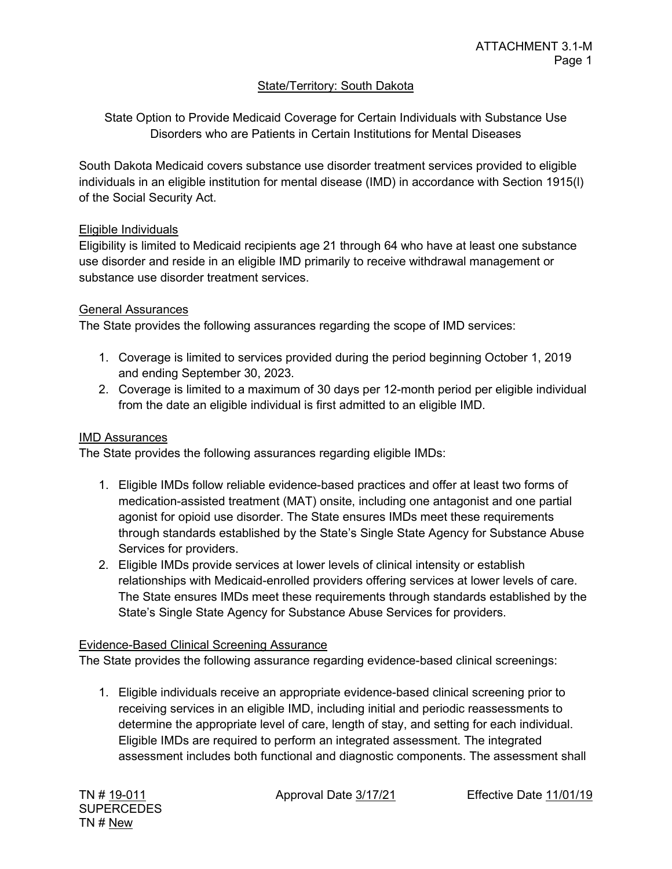# **State/Territory: South Dakota**

State Option to Provide Medicaid Coverage for Certain Individuals with Substance Use Disorders who are Patients in Certain Institutions for Mental Diseases

South Dakota Medicaid covers substance use disorder treatment services provided to eligible individuals in an eligible institution for mental disease (IMD) in accordance with Section 1915(l) of the Social Security Act.

## Eligible Individuals

Eligibility is limited to Medicaid recipients age 21 through 64 who have at least one substance use disorder and reside in an eligible IMD primarily to receive withdrawal management or substance use disorder treatment services.

# General Assurances

The State provides the following assurances regarding the scope of IMD services:

- 1. Coverage is limited to services provided during the period beginning October 1, 2019 and ending September 30, 2023.
- 2. Coverage is limited to a maximum of 30 days per 12-month period per eligible individual from the date an eligible individual is first admitted to an eligible IMD.

# IMD Assurances

The State provides the following assurances regarding eligible IMDs:

- 1. Eligible IMDs follow reliable evidence-based practices and offer at least two forms of medication-assisted treatment (MAT) onsite, including one antagonist and one partial agonist for opioid use disorder. The State ensures IMDs meet these requirements through standards established by the State's Single State Agency for Substance Abuse Services for providers.
- 2. Eligible IMDs provide services at lower levels of clinical intensity or establish relationships with Medicaid-enrolled providers offering services at lower levels of care. The State ensures IMDs meet these requirements through standards established by the State's Single State Agency for Substance Abuse Services for providers.

## Evidence-Based Clinical Screening Assurance

The State provides the following assurance regarding evidence-based clinical screenings:

1. Eligible individuals receive an appropriate evidence-based clinical screening prior to receiving services in an eligible IMD, including initial and periodic reassessments to determine the appropriate level of care, length of stay, and setting for each individual. Eligible IMDs are required to perform an integrated assessment. The integrated assessment includes both functional and diagnostic components. The assessment shall